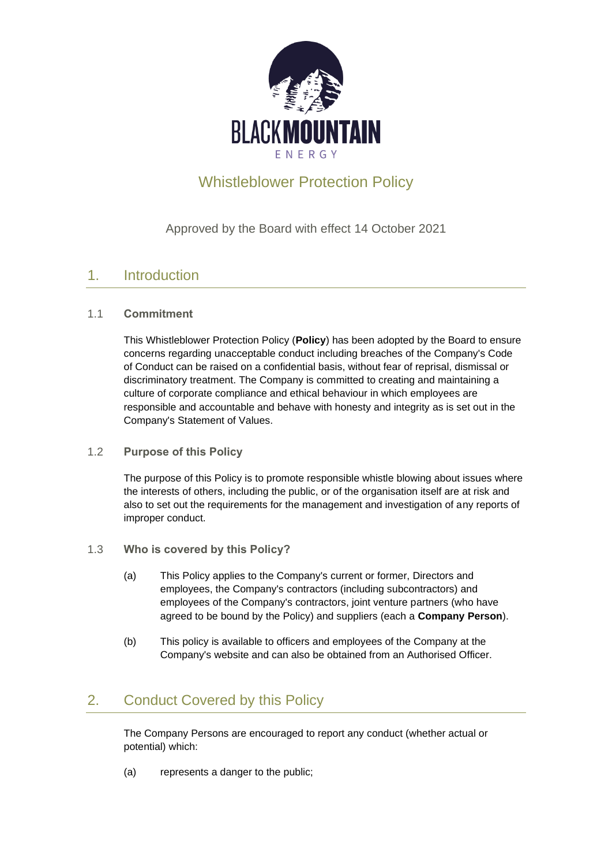

# Whistleblower Protection Policy

Approved by the Board with effect 14 October 2021

## 1. Introduction

#### 1.1 **Commitment**

This Whistleblower Protection Policy (**Policy**) has been adopted by the Board to ensure concerns regarding unacceptable conduct including breaches of the Company's Code of Conduct can be raised on a confidential basis, without fear of reprisal, dismissal or discriminatory treatment. The Company is committed to creating and maintaining a culture of corporate compliance and ethical behaviour in which employees are responsible and accountable and behave with honesty and integrity as is set out in the Company's Statement of Values.

#### 1.2 **Purpose of this Policy**

The purpose of this Policy is to promote responsible whistle blowing about issues where the interests of others, including the public, or of the organisation itself are at risk and also to set out the requirements for the management and investigation of any reports of improper conduct.

- 1.3 **Who is covered by this Policy?**
	- (a) This Policy applies to the Company's current or former, Directors and employees, the Company's contractors (including subcontractors) and employees of the Company's contractors, joint venture partners (who have agreed to be bound by the Policy) and suppliers (each a **Company Person**).
	- (b) This policy is available to officers and employees of the Company at the Company's website and can also be obtained from an Authorised Officer.

## <span id="page-0-0"></span>2. Conduct Covered by this Policy

The Company Persons are encouraged to report any conduct (whether actual or potential) which:

(a) represents a danger to the public;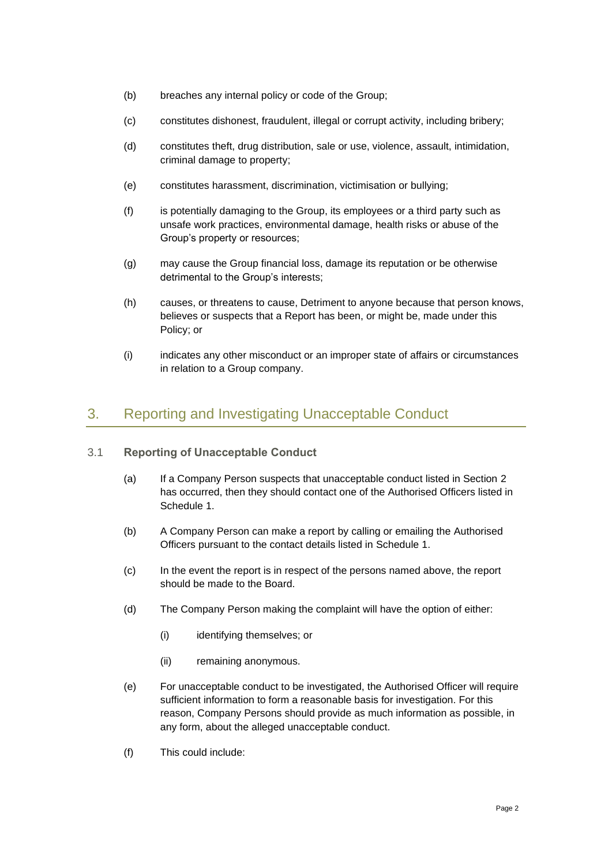- (b) breaches any internal policy or code of the Group;
- (c) constitutes dishonest, fraudulent, illegal or corrupt activity, including bribery;
- (d) constitutes theft, drug distribution, sale or use, violence, assault, intimidation, criminal damage to property;
- (e) constitutes harassment, discrimination, victimisation or bullying;
- (f) is potentially damaging to the Group, its employees or a third party such as unsafe work practices, environmental damage, health risks or abuse of the Group's property or resources;
- (g) may cause the Group financial loss, damage its reputation or be otherwise detrimental to the Group's interests;
- (h) causes, or threatens to cause, Detriment to anyone because that person knows, believes or suspects that a Report has been, or might be, made under this Policy; or
- (i) indicates any other misconduct or an improper state of affairs or circumstances in relation to a Group company.

## 3. Reporting and Investigating Unacceptable Conduct

- 3.1 **Reporting of Unacceptable Conduct**
	- (a) If a Company Person suspects that unacceptable conduct listed in Section [2](#page-0-0) has occurred, then they should contact one of the Authorised Officers listed in [Schedule](#page-7-0) 1.
	- (b) A Company Person can make a report by calling or emailing the Authorised Officers pursuant to the contact details listed in [Schedule](#page-7-0) 1.
	- (c) In the event the report is in respect of the persons named above, the report should be made to the Board.
	- (d) The Company Person making the complaint will have the option of either:
		- (i) identifying themselves; or
		- (ii) remaining anonymous.
	- (e) For unacceptable conduct to be investigated, the Authorised Officer will require sufficient information to form a reasonable basis for investigation. For this reason, Company Persons should provide as much information as possible, in any form, about the alleged unacceptable conduct.
	- (f) This could include: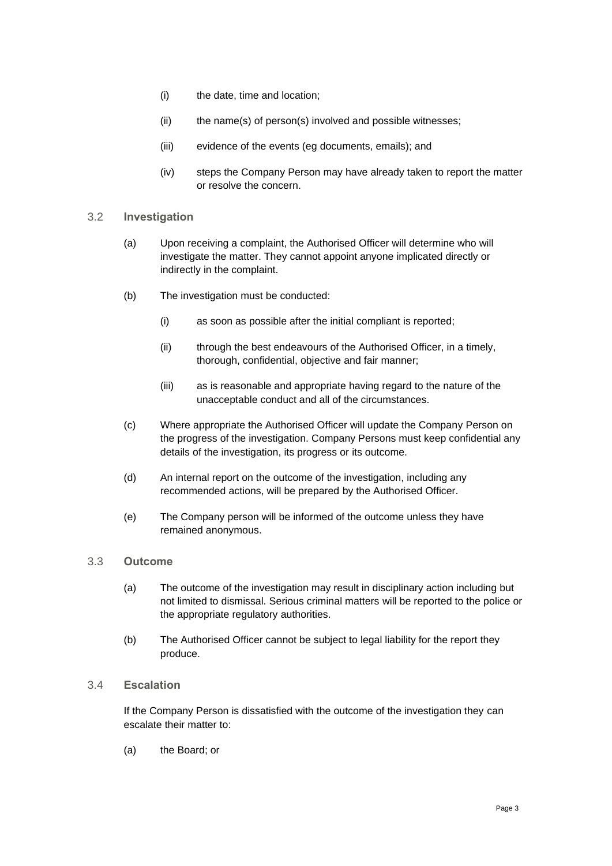- (i) the date, time and location;
- (ii) the name(s) of person(s) involved and possible witnesses;
- (iii) evidence of the events (eg documents, emails); and
- (iv) steps the Company Person may have already taken to report the matter or resolve the concern.

#### 3.2 **Investigation**

- (a) Upon receiving a complaint, the Authorised Officer will determine who will investigate the matter. They cannot appoint anyone implicated directly or indirectly in the complaint.
- (b) The investigation must be conducted:
	- (i) as soon as possible after the initial compliant is reported;
	- (ii) through the best endeavours of the Authorised Officer, in a timely, thorough, confidential, objective and fair manner;
	- (iii) as is reasonable and appropriate having regard to the nature of the unacceptable conduct and all of the circumstances.
- (c) Where appropriate the Authorised Officer will update the Company Person on the progress of the investigation. Company Persons must keep confidential any details of the investigation, its progress or its outcome.
- (d) An internal report on the outcome of the investigation, including any recommended actions, will be prepared by the Authorised Officer.
- (e) The Company person will be informed of the outcome unless they have remained anonymous.

#### 3.3 **Outcome**

- (a) The outcome of the investigation may result in disciplinary action including but not limited to dismissal. Serious criminal matters will be reported to the police or the appropriate regulatory authorities.
- (b) The Authorised Officer cannot be subject to legal liability for the report they produce.

#### 3.4 **Escalation**

If the Company Person is dissatisfied with the outcome of the investigation they can escalate their matter to:

(a) the Board; or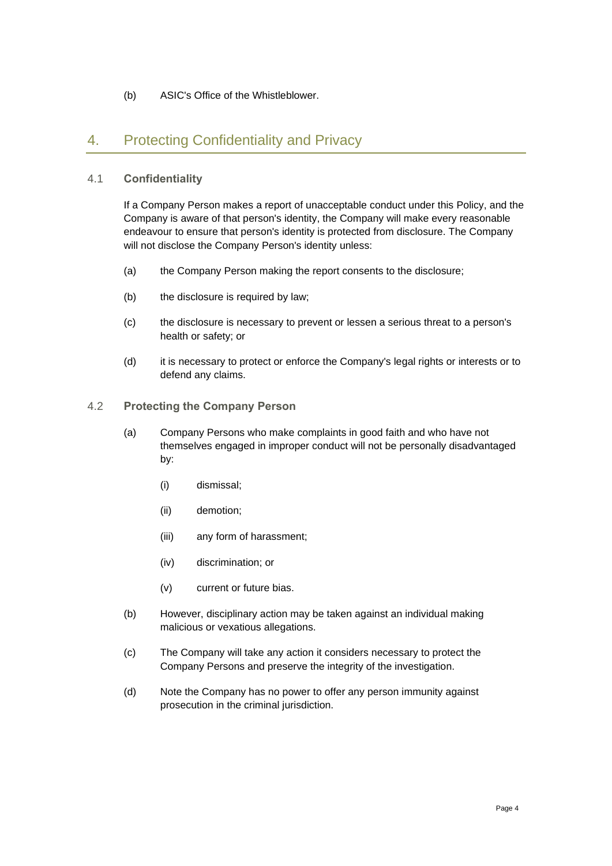#### (b) ASIC's Office of the Whistleblower.

### 4. Protecting Confidentiality and Privacy

#### 4.1 **Confidentiality**

If a Company Person makes a report of unacceptable conduct under this Policy, and the Company is aware of that person's identity, the Company will make every reasonable endeavour to ensure that person's identity is protected from disclosure. The Company will not disclose the Company Person's identity unless:

- (a) the Company Person making the report consents to the disclosure;
- (b) the disclosure is required by law;
- (c) the disclosure is necessary to prevent or lessen a serious threat to a person's health or safety; or
- (d) it is necessary to protect or enforce the Company's legal rights or interests or to defend any claims.

#### 4.2 **Protecting the Company Person**

- (a) Company Persons who make complaints in good faith and who have not themselves engaged in improper conduct will not be personally disadvantaged by:
	- (i) dismissal;
	- (ii) demotion;
	- (iii) any form of harassment;
	- (iv) discrimination; or
	- (v) current or future bias.
- (b) However, disciplinary action may be taken against an individual making malicious or vexatious allegations.
- (c) The Company will take any action it considers necessary to protect the Company Persons and preserve the integrity of the investigation.
- (d) Note the Company has no power to offer any person immunity against prosecution in the criminal jurisdiction.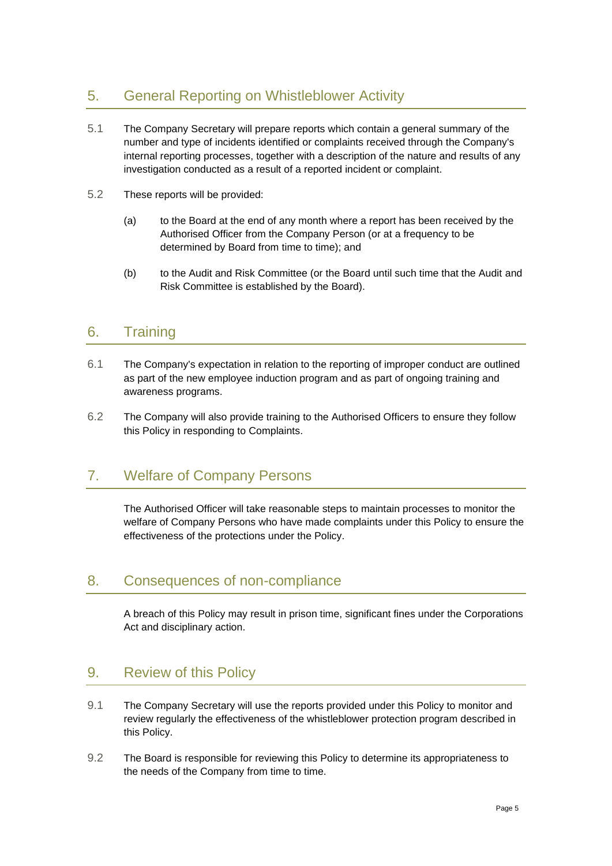## 5. General Reporting on Whistleblower Activity

- 5.1 The Company Secretary will prepare reports which contain a general summary of the number and type of incidents identified or complaints received through the Company's internal reporting processes, together with a description of the nature and results of any investigation conducted as a result of a reported incident or complaint.
- 5.2 These reports will be provided:
	- (a) to the Board at the end of any month where a report has been received by the Authorised Officer from the Company Person (or at a frequency to be determined by Board from time to time); and
	- (b) to the Audit and Risk Committee (or the Board until such time that the Audit and Risk Committee is established by the Board).

### 6. Training

- 6.1 The Company's expectation in relation to the reporting of improper conduct are outlined as part of the new employee induction program and as part of ongoing training and awareness programs.
- 6.2 The Company will also provide training to the Authorised Officers to ensure they follow this Policy in responding to Complaints.

### 7. Welfare of Company Persons

The Authorised Officer will take reasonable steps to maintain processes to monitor the welfare of Company Persons who have made complaints under this Policy to ensure the effectiveness of the protections under the Policy.

## 8. Consequences of non-compliance

A breach of this Policy may result in prison time, significant fines under the Corporations Act and disciplinary action.

## 9. Review of this Policy

- 9.1 The Company Secretary will use the reports provided under this Policy to monitor and review regularly the effectiveness of the whistleblower protection program described in this Policy.
- 9.2 The Board is responsible for reviewing this Policy to determine its appropriateness to the needs of the Company from time to time.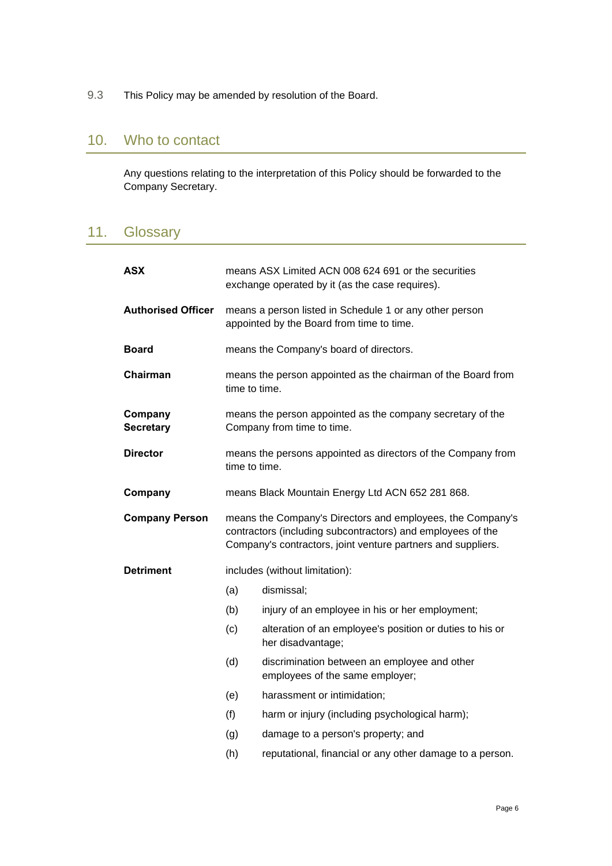9.3 This Policy may be amended by resolution of the Board.

### 10. Who to contact

Any questions relating to the interpretation of this Policy should be forwarded to the Company Secretary.

## 11. Glossary

| <b>ASX</b>                  | means ASX Limited ACN 008 624 691 or the securities<br>exchange operated by it (as the case requires).                                                                                    |                                                                                 |
|-----------------------------|-------------------------------------------------------------------------------------------------------------------------------------------------------------------------------------------|---------------------------------------------------------------------------------|
| <b>Authorised Officer</b>   | means a person listed in Schedule 1 or any other person<br>appointed by the Board from time to time.                                                                                      |                                                                                 |
| <b>Board</b>                | means the Company's board of directors.                                                                                                                                                   |                                                                                 |
| Chairman                    | means the person appointed as the chairman of the Board from<br>time to time.                                                                                                             |                                                                                 |
| Company<br><b>Secretary</b> | means the person appointed as the company secretary of the<br>Company from time to time.                                                                                                  |                                                                                 |
| <b>Director</b>             | means the persons appointed as directors of the Company from<br>time to time.                                                                                                             |                                                                                 |
| Company                     | means Black Mountain Energy Ltd ACN 652 281 868.                                                                                                                                          |                                                                                 |
|                             | means the Company's Directors and employees, the Company's<br>contractors (including subcontractors) and employees of the<br>Company's contractors, joint venture partners and suppliers. |                                                                                 |
| <b>Company Person</b>       |                                                                                                                                                                                           |                                                                                 |
| <b>Detriment</b>            |                                                                                                                                                                                           | includes (without limitation):                                                  |
|                             | (a)                                                                                                                                                                                       | dismissal;                                                                      |
|                             | (b)                                                                                                                                                                                       | injury of an employee in his or her employment;                                 |
|                             | (c)                                                                                                                                                                                       | alteration of an employee's position or duties to his or<br>her disadvantage;   |
|                             | (d)                                                                                                                                                                                       | discrimination between an employee and other<br>employees of the same employer; |
|                             | (e)                                                                                                                                                                                       | harassment or intimidation;                                                     |
|                             | (f)                                                                                                                                                                                       | harm or injury (including psychological harm);                                  |
|                             | (g)                                                                                                                                                                                       | damage to a person's property; and                                              |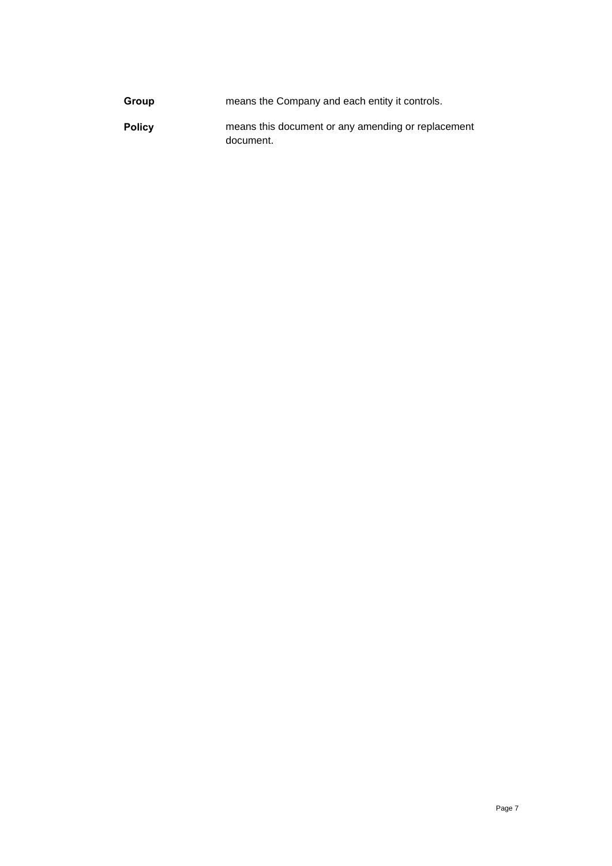| Group         | means the Company and each entity it controls.                  |
|---------------|-----------------------------------------------------------------|
| <b>Policy</b> | means this document or any amending or replacement<br>document. |